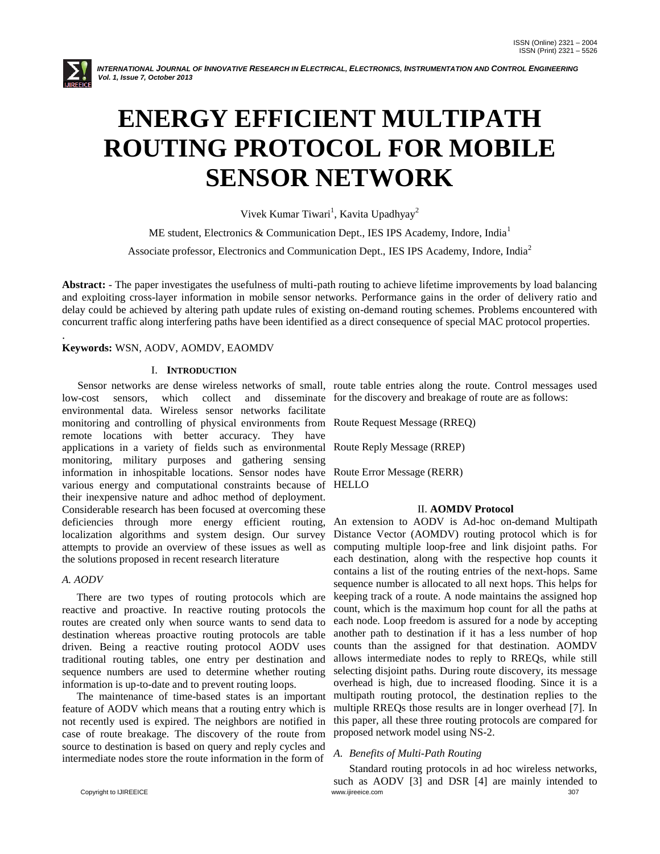

.

INTERNATIONAL JOURNAL OF INNOVATIVE RESEARCH IN ELECTRICAL, ELECTRONICS, INSTRUMENTATION AND CONTROL ENGINEERING *Vol. 1, Issue 7, October 2013*

# **ENERGY EFFICIENT MULTIPATH ROUTING PROTOCOL FOR MOBILE SENSOR NETWORK**

Vivek Kumar Tiwari<sup>1</sup>, Kavita Upadhyay<sup>2</sup>

ME student, Electronics & Communication Dept., IES IPS Academy, Indore, India<sup>1</sup>

Associate professor, Electronics and Communication Dept., IES IPS Academy, Indore, India<sup>2</sup>

**Abstract:** - The paper investigates the usefulness of multi-path routing to achieve lifetime improvements by load balancing and exploiting cross-layer information in mobile sensor networks. Performance gains in the order of delivery ratio and delay could be achieved by altering path update rules of existing on-demand routing schemes. Problems encountered with concurrent traffic along interfering paths have been identified as a direct consequence of special MAC protocol properties.

# **Keywords:** WSN, AODV, AOMDV, EAOMDV

# I. **INTRODUCTION**

low-cost sensors, which collect and disseminate for the discovery and breakage of route are as follows: environmental data. Wireless sensor networks facilitate monitoring and controlling of physical environments from remote locations with better accuracy. They have applications in a variety of fields such as environmental Route Reply Message (RREP) monitoring, military purposes and gathering sensing information in inhospitable locations. Sensor nodes have various energy and computational constraints because of HELLO their inexpensive nature and adhoc method of deployment. Considerable research has been focused at overcoming these deficiencies through more energy efficient routing, localization algorithms and system design. Our survey attempts to provide an overview of these issues as well as the solutions proposed in recent research literature

# *A. AODV*

There are two types of routing protocols which are reactive and proactive. In reactive routing protocols the routes are created only when source wants to send data to destination whereas proactive routing protocols are table driven. Being a reactive routing protocol AODV uses traditional routing tables, one entry per destination and sequence numbers are used to determine whether routing information is up-to-date and to prevent routing loops.

The maintenance of time-based states is an important feature of AODV which means that a routing entry which is not recently used is expired. The neighbors are notified in case of route breakage. The discovery of the route from source to destination is based on query and reply cycles and intermediate nodes store the route information in the form of

Sensor networks are dense wireless networks of small, route table entries along the route. Control messages used

Route Request Message (RREQ)

Route Error Message (RERR)

#### II. **AOMDV Protocol**

An extension to AODV is Ad-hoc on-demand Multipath Distance Vector (AOMDV) routing protocol which is for computing multiple loop-free and link disjoint paths. For each destination, along with the respective hop counts it contains a list of the routing entries of the next-hops. Same sequence number is allocated to all next hops. This helps for keeping track of a route. A node maintains the assigned hop count, which is the maximum hop count for all the paths at each node. Loop freedom is assured for a node by accepting another path to destination if it has a less number of hop counts than the assigned for that destination. AOMDV allows intermediate nodes to reply to RREQs, while still selecting disjoint paths. During route discovery, its message overhead is high, due to increased flooding. Since it is a multipath routing protocol, the destination replies to the multiple RREQs those results are in longer overhead [7]. In this paper, all these three routing protocols are compared for proposed network model using NS-2.

# *A. Benefits of Multi-Path Routing*

Standard routing protocols in ad hoc wireless networks, such as AODV [3] and DSR [4] are mainly intended to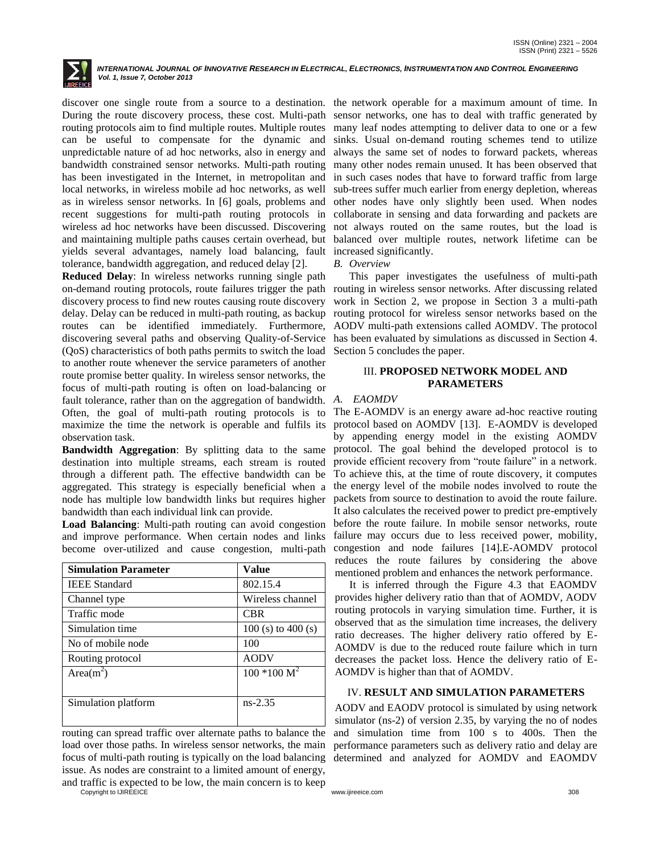

INTERNATIONAL JOURNAL OF INNOVATIVE RESEARCH IN ELECTRICAL, ELECTRONICS, INSTRUMENTATION AND CONTROL ENGINEERING *Vol. 1, Issue 7, October 2013*

discover one single route from a source to a destination. the network operable for a maximum amount of time. In During the route discovery process, these cost. Multi-path routing protocols aim to find multiple routes. Multiple routes can be useful to compensate for the dynamic and unpredictable nature of ad hoc networks, also in energy and bandwidth constrained sensor networks. Multi-path routing has been investigated in the Internet, in metropolitan and local networks, in wireless mobile ad hoc networks, as well as in wireless sensor networks. In [6] goals, problems and recent suggestions for multi-path routing protocols in wireless ad hoc networks have been discussed. Discovering and maintaining multiple paths causes certain overhead, but yields several advantages, namely load balancing, fault tolerance, bandwidth aggregation, and reduced delay [2].

**Reduced Delay**: In wireless networks running single path on-demand routing protocols, route failures trigger the path routing in wireless sensor networks. After discussing related discovery process to find new routes causing route discovery delay. Delay can be reduced in multi-path routing, as backup routes can be identified immediately. Furthermore, discovering several paths and observing Quality-of-Service (QoS) characteristics of both paths permits to switch the load to another route whenever the service parameters of another route promise better quality. In wireless sensor networks, the focus of multi-path routing is often on load-balancing or fault tolerance, rather than on the aggregation of bandwidth. *A. EAOMDV* Often, the goal of multi-path routing protocols is to maximize the time the network is operable and fulfils its observation task.

**Bandwidth Aggregation**: By splitting data to the same destination into multiple streams, each stream is routed through a different path. The effective bandwidth can be aggregated. This strategy is especially beneficial when a node has multiple low bandwidth links but requires higher bandwidth than each individual link can provide.

**Load Balancing**: Multi-path routing can avoid congestion and improve performance. When certain nodes and links become over-utilized and cause congestion, multi-path

| <b>Simulation Parameter</b> | Value                             |
|-----------------------------|-----------------------------------|
| <b>IEEE</b> Standard        | 802.15.4                          |
| Channel type                | Wireless channel                  |
| Traffic mode                | <b>CBR</b>                        |
| Simulation time             | 100 (s) to 400 (s)                |
| No of mobile node           | 100                               |
| Routing protocol            | <b>AODV</b>                       |
| Area $(m^2)$                | $100*100 \overline{\mathrm{M}^2}$ |
|                             |                                   |
| Simulation platform         | $ns-2.35$                         |
|                             |                                   |

routing can spread traffic over alternate paths to balance the load over those paths. In wireless sensor networks, the main focus of multi-path routing is typically on the load balancing issue. As nodes are constraint to a limited amount of energy, and traffic is expected to be low, the main concern is to keep

sensor networks, one has to deal with traffic generated by many leaf nodes attempting to deliver data to one or a few sinks. Usual on-demand routing schemes tend to utilize always the same set of nodes to forward packets, whereas many other nodes remain unused. It has been observed that in such cases nodes that have to forward traffic from large sub-trees suffer much earlier from energy depletion, whereas other nodes have only slightly been used. When nodes collaborate in sensing and data forwarding and packets are not always routed on the same routes, but the load is balanced over multiple routes, network lifetime can be increased significantly.

#### *B. Overview*

This paper investigates the usefulness of multi-path work in Section 2, we propose in Section 3 a multi-path routing protocol for wireless sensor networks based on the AODV multi-path extensions called AOMDV. The protocol has been evaluated by simulations as discussed in Section 4. Section 5 concludes the paper.

### III. **PROPOSED NETWORK MODEL AND PARAMETERS**

The E-AOMDV is an energy aware ad-hoc reactive routing protocol based on AOMDV [13]. E-AOMDV is developed by appending energy model in the existing AOMDV protocol. The goal behind the developed protocol is to provide efficient recovery from "route failure" in a network. To achieve this, at the time of route discovery, it computes the energy level of the mobile nodes involved to route the packets from source to destination to avoid the route failure. It also calculates the received power to predict pre-emptively before the route failure. In mobile sensor networks, route failure may occurs due to less received power, mobility, congestion and node failures [14].E-AOMDV protocol reduces the route failures by considering the above mentioned problem and enhances the network performance.

It is inferred through the Figure 4.3 that EAOMDV provides higher delivery ratio than that of AOMDV, AODV routing protocols in varying simulation time. Further, it is observed that as the simulation time increases, the delivery ratio decreases. The higher delivery ratio offered by E-AOMDV is due to the reduced route failure which in turn decreases the packet loss. Hence the delivery ratio of E-AOMDV is higher than that of AOMDV.

#### IV. **RESULT AND SIMULATION PARAMETERS**

AODV and EAODV protocol is simulated by using network simulator (ns-2) of version 2.35, by varying the no of nodes and simulation time from 100 s to 400s. Then the performance parameters such as delivery ratio and delay are determined and analyzed for AOMDV and EAOMDV

Copyright to IJIREEICE [www.ijireeice.com](http://www.ijireeice.com/) 308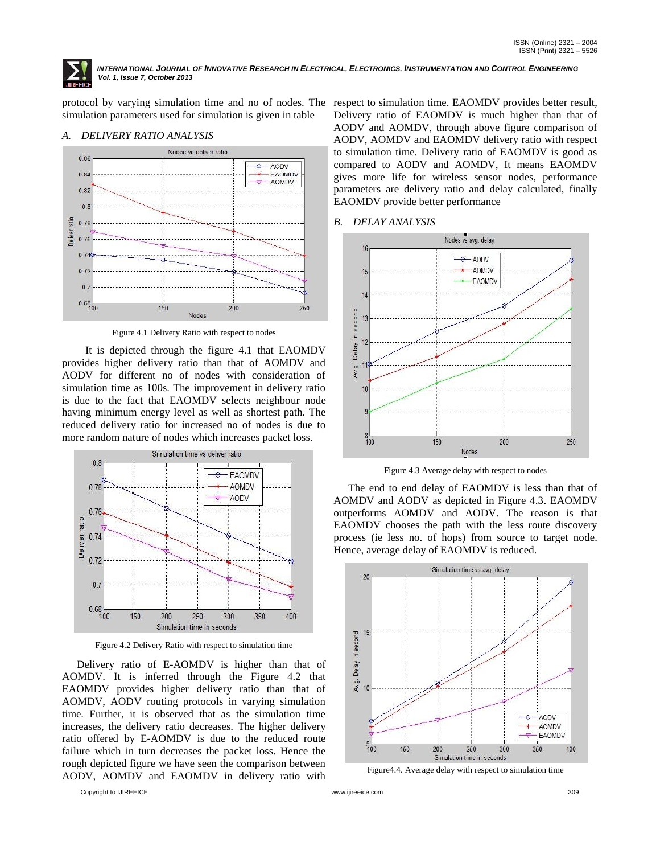

INTERNATIONAL JOURNAL OF INNOVATIVE RESEARCH IN ELECTRICAL, ELECTRONICS, INSTRUMENTATION AND CONTROL ENGINEERING *Vol. 1, Issue 7, October 2013*

simulation parameters used for simulation is given in table

### *A. DELIVERY RATIO ANALYSIS*



Figure 4.1 Delivery Ratio with respect to nodes

It is depicted through the figure 4.1 that EAOMDV provides higher delivery ratio than that of AOMDV and AODV for different no of nodes with consideration of simulation time as 100s. The improvement in delivery ratio is due to the fact that EAOMDV selects neighbour node having minimum energy level as well as shortest path. The reduced delivery ratio for increased no of nodes is due to more random nature of nodes which increases packet loss.



Figure 4.2 Delivery Ratio with respect to simulation time

Delivery ratio of E-AOMDV is higher than that of AOMDV. It is inferred through the Figure 4.2 that EAOMDV provides higher delivery ratio than that of AOMDV, AODV routing protocols in varying simulation time. Further, it is observed that as the simulation time increases, the delivery ratio decreases. The higher delivery ratio offered by E-AOMDV is due to the reduced route failure which in turn decreases the packet loss. Hence the rough depicted figure we have seen the comparison between AODV, AOMDV and EAOMDV in delivery ratio with

Copyright to IJIREEICE [www.ijireeice.com](http://www.ijireeice.com/) 309

protocol by varying simulation time and no of nodes. The respect to simulation time. EAOMDV provides better result, Delivery ratio of EAOMDV is much higher than that of AODV and AOMDV, through above figure comparison of AODV, AOMDV and EAOMDV delivery ratio with respect to simulation time. Delivery ratio of EAOMDV is good as compared to AODV and AOMDV, It means EAOMDV gives more life for wireless sensor nodes, performance parameters are delivery ratio and delay calculated, finally EAOMDV provide better performance

#### *B. DELAY ANALYSIS*



Figure 4.3 Average delay with respect to nodes

The end to end delay of EAOMDV is less than that of AOMDV and AODV as depicted in Figure 4.3. EAOMDV outperforms AOMDV and AODV. The reason is that EAOMDV chooses the path with the less route discovery process (ie less no. of hops) from source to target node. Hence, average delay of EAOMDV is reduced.



Figure4.4. Average delay with respect to simulation time